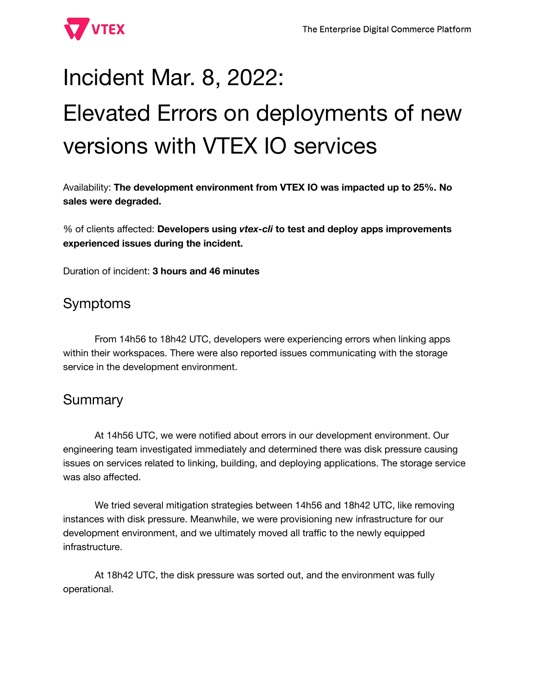

# Incident Mar. 8, 2022: Elevated Errors on deployments of new versions with VTEX IO services

Availability: **The development environment from VTEX IO was impacted up to 25%. No sales were degraded.**

% of clients affected: **Developers using** *vtex-cli* **to test and deploy apps improvements experienced issues during the incident.**

Duration of incident: **3 hours and 46 minutes**

## Symptoms

From 14h56 to 18h42 UTC, developers were experiencing errors when linking apps within their workspaces. There were also reported issues communicating with the storage service in the development environment.

## **Summary**

At 14h56 UTC, we were notified about errors in our development environment. Our engineering team investigated immediately and determined there was disk pressure causing issues on services related to linking, building, and deploying applications. The storage service was also affected.

We tried several mitigation strategies between 14h56 and 18h42 UTC, like removing instances with disk pressure. Meanwhile, we were provisioning new infrastructure for our development environment, and we ultimately moved all traffic to the newly equipped infrastructure.

At 18h42 UTC, the disk pressure was sorted out, and the environment was fully operational.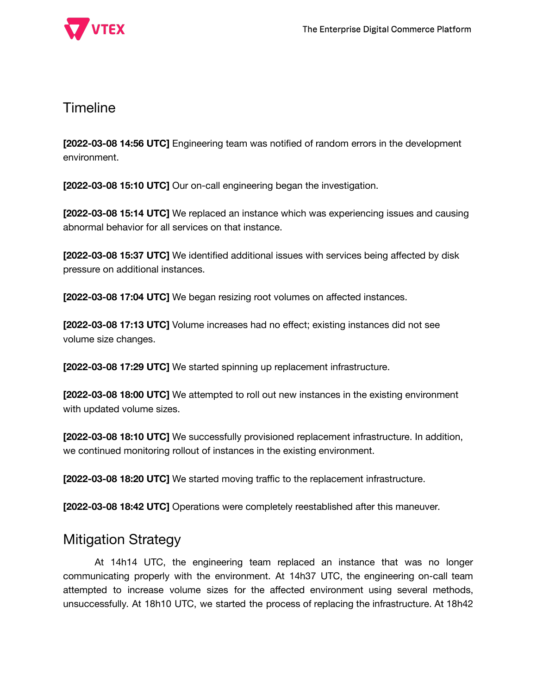



#### **Timeline**

**[2022-03-08 14:56 UTC]** Engineering team was notified of random errors in the development environment.

**[2022-03-08 15:10 UTC]** Our on-call engineering began the investigation.

**[2022-03-08 15:14 UTC]** We replaced an instance which was experiencing issues and causing abnormal behavior for all services on that instance.

**[2022-03-08 15:37 UTC]** We identified additional issues with services being affected by disk pressure on additional instances.

**[2022-03-08 17:04 UTC]** We began resizing root volumes on affected instances.

**[2022-03-08 17:13 UTC]** Volume increases had no effect; existing instances did not see volume size changes.

**[2022-03-08 17:29 UTC]** We started spinning up replacement infrastructure.

**[2022-03-08 18:00 UTC]** We attempted to roll out new instances in the existing environment with updated volume sizes.

**[2022-03-08 18:10 UTC]** We successfully provisioned replacement infrastructure. In addition, we continued monitoring rollout of instances in the existing environment.

**[2022-03-08 18:20 UTC]** We started moving traffic to the replacement infrastructure.

**[2022-03-08 18:42 UTC]** Operations were completely reestablished after this maneuver.

#### Mitigation Strategy

At 14h14 UTC, the engineering team replaced an instance that was no longer communicating properly with the environment. At 14h37 UTC, the engineering on-call team attempted to increase volume sizes for the affected environment using several methods, unsuccessfully. At 18h10 UTC, we started the process of replacing the infrastructure. At 18h42